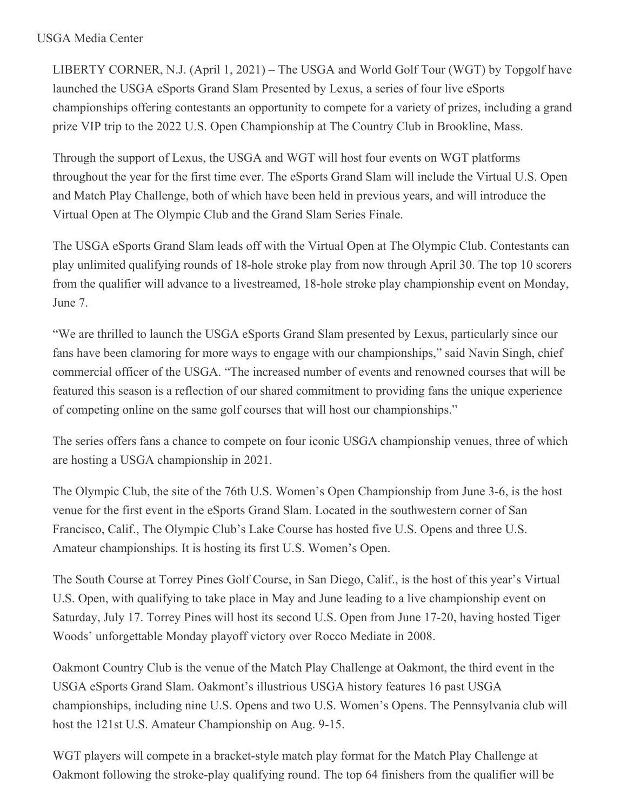## USGA Media Center

LIBERTY CORNER, N.J. (April 1, 2021) – The USGA and World Golf Tour (WGT) by Topgolf have launched the USGA eSports Grand Slam Presented by Lexus, a series of four live eSports championships offering contestants an opportunity to compete for a variety of prizes, including a grand prize VIP trip to the 2022 U.S. Open Championship at The Country Club in Brookline, Mass.

Through the support of Lexus, the USGA and WGT will host four events on WGT platforms throughout the year for the first time ever. The eSports Grand Slam will include the Virtual U.S. Open and Match Play Challenge, both of which have been held in previous years, and will introduce the Virtual Open at The Olympic Club and the Grand Slam Series Finale.

The USGA eSports Grand Slam leads off with the Virtual Open at The Olympic Club. Contestants can play unlimited qualifying rounds of 18-hole stroke play from now through April 30. The top 10 scorers from the qualifier will advance to a livestreamed, 18-hole stroke play championship event on Monday, June 7.

"We are thrilled to launch the USGA eSports Grand Slam presented by Lexus, particularly since our fans have been clamoring for more ways to engage with our championships," said Navin Singh, chief commercial officer of the USGA. "The increased number of events and renowned courses that will be featured this season is a reflection of our shared commitment to providing fans the unique experience of competing online on the same golf courses that will host our championships."

The series offers fans a chance to compete on four iconic USGA championship venues, three of which are hosting a USGA championship in 2021.

The Olympic Club, the site of the 76th U.S. Women's Open Championship from June 3-6, is the host venue for the first event in the eSports Grand Slam. Located in the southwestern corner of San Francisco, Calif., The Olympic Club's Lake Course has hosted five U.S. Opens and three U.S. Amateur championships. It is hosting its first U.S. Women's Open.

The South Course at Torrey Pines Golf Course, in San Diego, Calif., is the host of this year's Virtual U.S. Open, with qualifying to take place in May and June leading to a live championship event on Saturday, July 17. Torrey Pines will host its second U.S. Open from June 17-20, having hosted Tiger Woods' unforgettable Monday playoff victory over Rocco Mediate in 2008.

Oakmont Country Club is the venue of the Match Play Challenge at Oakmont, the third event in the USGA eSports Grand Slam. Oakmont's illustrious USGA history features 16 past USGA championships, including nine U.S. Opens and two U.S. Women's Opens. The Pennsylvania club will host the 121st U.S. Amateur Championship on Aug. 9-15.

WGT players will compete in a bracket-style match play format for the Match Play Challenge at Oakmont following the stroke-play qualifying round. The top 64 finishers from the qualifier will be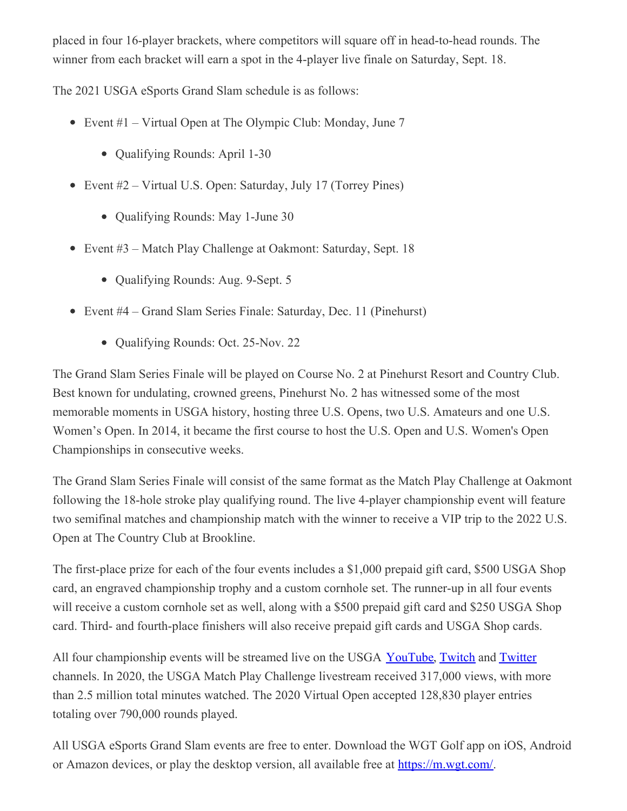placed in four 16-player brackets, where competitors will square off in head-to-head rounds. The winner from each bracket will earn a spot in the 4-player live finale on Saturday, Sept. 18.

The 2021 USGA eSports Grand Slam schedule is as follows:

- Event #1 Virtual Open at The Olympic Club: Monday, June 7
	- Qualifying Rounds: April 1-30
- Event #2 Virtual U.S. Open: Saturday, July 17 (Torrey Pines)
	- Qualifying Rounds: May 1-June 30
- Event #3 Match Play Challenge at Oakmont: Saturday, Sept. 18
	- Qualifying Rounds: Aug. 9-Sept. 5
- Event #4 Grand Slam Series Finale: Saturday, Dec. 11 (Pinehurst)
	- Qualifying Rounds: Oct. 25-Nov. 22

The Grand Slam Series Finale will be played on Course No. 2 at Pinehurst Resort and Country Club. Best known for undulating, crowned greens, Pinehurst No. 2 has witnessed some of the most memorable moments in USGA history, hosting three U.S. Opens, two U.S. Amateurs and one U.S. Women's Open. In 2014, it became the first course to host the U.S. Open and U.S. Women's Open Championships in consecutive weeks.

The Grand Slam Series Finale will consist of the same format as the Match Play Challenge at Oakmont following the 18-hole stroke play qualifying round. The live 4-player championship event will feature two semifinal matches and championship match with the winner to receive a VIP trip to the 2022 U.S. Open at The Country Club at Brookline.

The first-place prize for each of the four events includes a \$1,000 prepaid gift card, \$500 USGA Shop card, an engraved championship trophy and a custom cornhole set. The runner-up in all four events will receive a custom cornhole set as well, along with a \$500 prepaid gift card and \$250 USGA Shop card. Third- and fourth-place finishers will also receive prepaid gift cards and USGA Shop cards.

All four championship events will be streamed live on the USGA [YouTube](https://nam12.safelinks.protection.outlook.com/?url=https%3A%2F%2Fwww.youtube.com%2Fchannel%2FUCsZsn_S93Zs8JOdKMRbklmg&data=04%7C01%7CJGeske%40USGA.org%7Cd3156c92c0174c9fe85008d8f51aaf6d%7C17abf7083a064391bdbd06808d1b9f81%7C0%7C0%7C637528842270024925%7CUnknown%7CTWFpbGZsb3d8eyJWIjoiMC4wLjAwMDAiLCJQIjoiV2luMzIiLCJBTiI6Ik1haWwiLCJXVCI6Mn0%3D%7C1000&sdata=WzkZ2wx3EH3Zy0Ww5wWUHZHFBpwz7iuVrAQ3vnVBMbk%3D&reserved=0), [Twitch](https://nam12.safelinks.protection.outlook.com/?url=https%3A%2F%2Fwww.twitch.tv%2Fusgagolf&data=04%7C01%7CJGeske%40USGA.org%7Cd3156c92c0174c9fe85008d8f51aaf6d%7C17abf7083a064391bdbd06808d1b9f81%7C0%7C0%7C637528842270034919%7CUnknown%7CTWFpbGZsb3d8eyJWIjoiMC4wLjAwMDAiLCJQIjoiV2luMzIiLCJBTiI6Ik1haWwiLCJXVCI6Mn0%3D%7C1000&sdata=CVrjCdSzTzkQKhfrfz3gRUMwnEMYSOvqNh%2BJJAixTlc%3D&reserved=0) and [Twitter](https://nam12.safelinks.protection.outlook.com/?url=https%3A%2F%2Ftwitter.com%2FUSGA&data=04%7C01%7CJGeske%40USGA.org%7Cd3156c92c0174c9fe85008d8f51aaf6d%7C17abf7083a064391bdbd06808d1b9f81%7C0%7C0%7C637528842270044914%7CUnknown%7CTWFpbGZsb3d8eyJWIjoiMC4wLjAwMDAiLCJQIjoiV2luMzIiLCJBTiI6Ik1haWwiLCJXVCI6Mn0%3D%7C1000&sdata=Rci3cyC1A7fG8vtLu1qyi45iU9TpAxToSZNGaGHTJGE%3D&reserved=0) channels. In 2020, the USGA Match Play Challenge livestream received 317,000 views, with more than 2.5 million total minutes watched. The 2020 Virtual Open accepted 128,830 player entries totaling over 790,000 rounds played.

All USGA eSports Grand Slam events are free to enter. Download the WGT Golf app on iOS, Android or Amazon devices, or play the desktop version, all available free at [https://m.wgt.com/](https://nam12.safelinks.protection.outlook.com/?url=https%3A%2F%2Fm.wgt.com%2F&data=04%7C01%7CJGeske%40USGA.org%7Cd3156c92c0174c9fe85008d8f51aaf6d%7C17abf7083a064391bdbd06808d1b9f81%7C0%7C0%7C637528842270044914%7CUnknown%7CTWFpbGZsb3d8eyJWIjoiMC4wLjAwMDAiLCJQIjoiV2luMzIiLCJBTiI6Ik1haWwiLCJXVCI6Mn0%3D%7C1000&sdata=gb8%2FDcVIeky66XHwnkrbGcbjW24GGpXeK9waiKM%2BgIw%3D&reserved=0).